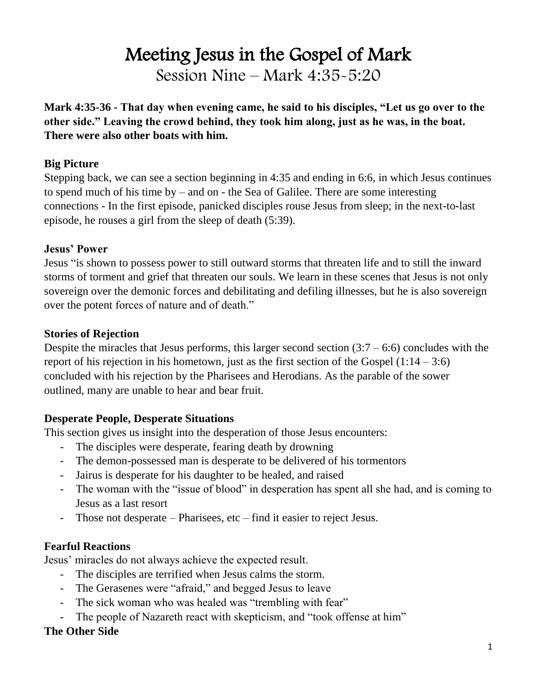# Meeting Jesus in the Gospel of Mark Session Nine – Mark 4:35-5:20

**Mark 4:35-36 - That day when evening came, he said to his disciples, "Let us go over to the other side." Leaving the crowd behind, they took him along, just as he was, in the boat. There were also other boats with him.** 

## **Big Picture**

Stepping back, we can see a section beginning in 4:35 and ending in 6:6, in which Jesus continues to spend much of his time by – and on - the Sea of Galilee. There are some interesting connections - In the first episode, panicked disciples rouse Jesus from sleep; in the next-to-last episode, he rouses a girl from the sleep of death (5:39).

#### **Jesus' Power**

Jesus "is shown to possess power to still outward storms that threaten life and to still the inward storms of torment and grief that threaten our souls. We learn in these scenes that Jesus is not only sovereign over the demonic forces and debilitating and defiling illnesses, but he is also sovereign over the potent forces of nature and of death."

#### **Stories of Rejection**

Despite the miracles that Jesus performs, this larger second section  $(3:7 - 6:6)$  concludes with the report of his rejection in his hometown, just as the first section of the Gospel  $(1:14 - 3:6)$ concluded with his rejection by the Pharisees and Herodians. As the parable of the sower outlined, many are unable to hear and bear fruit.

#### **Desperate People, Desperate Situations**

This section gives us insight into the desperation of those Jesus encounters:

- The disciples were desperate, fearing death by drowning
- The demon-possessed man is desperate to be delivered of his tormentors
- Jairus is desperate for his daughter to be healed, and raised
- The woman with the "issue of blood" in desperation has spent all she had, and is coming to Jesus as a last resort
- Those not desperate Pharisees, etc find it easier to reject Jesus.

# **Fearful Reactions**

Jesus' miracles do not always achieve the expected result.

- The disciples are terrified when Jesus calms the storm.
- The Gerasenes were "afraid," and begged Jesus to leave
- The sick woman who was healed was "trembling with fear"
- The people of Nazareth react with skepticism, and "took offense at him"

# **The Other Side**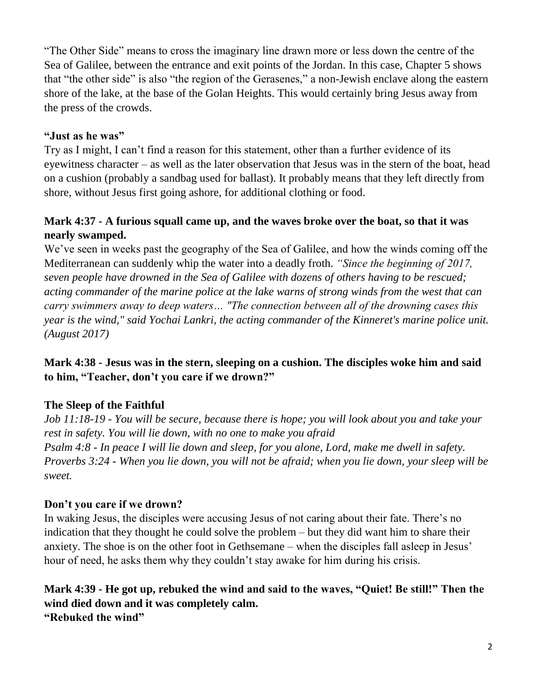"The Other Side" means to cross the imaginary line drawn more or less down the centre of the Sea of Galilee, between the entrance and exit points of the Jordan. In this case, Chapter 5 shows that "the other side" is also "the region of the Gerasenes," a non-Jewish enclave along the eastern shore of the lake, at the base of the Golan Heights. This would certainly bring Jesus away from the press of the crowds.

#### **"Just as he was"**

Try as I might, I can't find a reason for this statement, other than a further evidence of its eyewitness character – as well as the later observation that Jesus was in the stern of the boat, head on a cushion (probably a sandbag used for ballast). It probably means that they left directly from shore, without Jesus first going ashore, for additional clothing or food.

# **Mark 4:37 - A furious squall came up, and the waves broke over the boat, so that it was nearly swamped.**

We've seen in weeks past the geography of the Sea of Galilee, and how the winds coming off the Mediterranean can suddenly whip the water into a deadly froth. *"Since the beginning of 2017, seven people have drowned in the Sea of Galilee with dozens of others having to be rescued; acting commander of the marine police at the lake warns of strong winds from the west that can carry swimmers away to deep waters… "The connection between all of the drowning cases this year is the wind," said Yochai Lankri, the acting commander of the Kinneret's marine police unit. (August 2017)*

#### **Mark 4:38 - Jesus was in the stern, sleeping on a cushion. The disciples woke him and said to him, "Teacher, don't you care if we drown?"**

#### **The Sleep of the Faithful**

*Job 11:18-19 - You will be secure, because there is hope; you will look about you and take your rest in safety. You will lie down, with no one to make you afraid Psalm 4:8 - In peace I will lie down and sleep, for you alone, Lord, make me dwell in safety. Proverbs 3:24 - When you lie down, you will not be afraid; when you lie down, your sleep will be sweet.*

#### **Don't you care if we drown?**

In waking Jesus, the disciples were accusing Jesus of not caring about their fate. There's no indication that they thought he could solve the problem – but they did want him to share their anxiety. The shoe is on the other foot in Gethsemane – when the disciples fall asleep in Jesus' hour of need, he asks them why they couldn't stay awake for him during his crisis.

**Mark 4:39 - He got up, rebuked the wind and said to the waves, "Quiet! Be still!" Then the wind died down and it was completely calm. "Rebuked the wind"**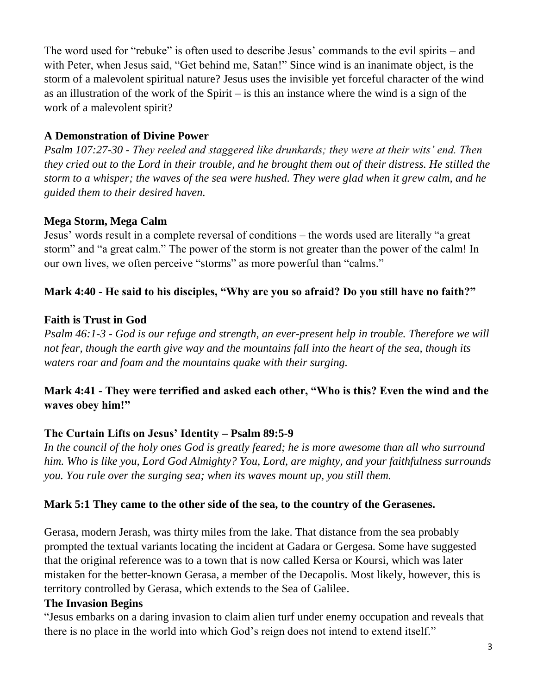The word used for "rebuke" is often used to describe Jesus' commands to the evil spirits – and with Peter, when Jesus said, "Get behind me, Satan!" Since wind is an inanimate object, is the storm of a malevolent spiritual nature? Jesus uses the invisible yet forceful character of the wind as an illustration of the work of the Spirit – is this an instance where the wind is a sign of the work of a malevolent spirit?

## **A Demonstration of Divine Power**

*Psalm 107:27-30 - They reeled and staggered like drunkards; they were at their wits' end. Then they cried out to the Lord in their trouble, and he brought them out of their distress. He stilled the storm to a whisper; the waves of the sea were hushed. They were glad when it grew calm, and he guided them to their desired haven.*

# **Mega Storm, Mega Calm**

Jesus' words result in a complete reversal of conditions – the words used are literally "a great storm" and "a great calm." The power of the storm is not greater than the power of the calm! In our own lives, we often perceive "storms" as more powerful than "calms."

# **Mark 4:40 - He said to his disciples, "Why are you so afraid? Do you still have no faith?"**

#### **Faith is Trust in God**

*Psalm 46:1-3 - God is our refuge and strength, an ever-present help in trouble. Therefore we will not fear, though the earth give way and the mountains fall into the heart of the sea, though its waters roar and foam and the mountains quake with their surging.*

# **Mark 4:41 - They were terrified and asked each other, "Who is this? Even the wind and the waves obey him!"**

#### **The Curtain Lifts on Jesus' Identity – Psalm 89:5-9**

In the council of the holy ones God is greatly feared; he is more awesome than all who surround *him. Who is like you, Lord God Almighty? You, Lord, are mighty, and your faithfulness surrounds you. You rule over the surging sea; when its waves mount up, you still them.*

#### **Mark 5:1 They came to the other side of the sea, to the country of the Gerasenes.**

Gerasa, modern Jerash, was thirty miles from the lake. That distance from the sea probably prompted the textual variants locating the incident at Gadara or Gergesa. Some have suggested that the original reference was to a town that is now called Kersa or Koursi, which was later mistaken for the better-known Gerasa, a member of the Decapolis. Most likely, however, this is territory controlled by Gerasa, which extends to the Sea of Galilee.

#### **The Invasion Begins**

"Jesus embarks on a daring invasion to claim alien turf under enemy occupation and reveals that there is no place in the world into which God's reign does not intend to extend itself."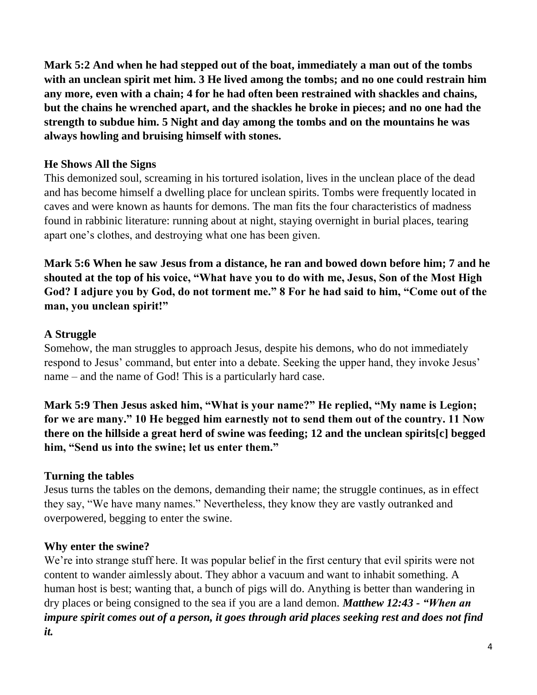**Mark 5:2 And when he had stepped out of the boat, immediately a man out of the tombs with an unclean spirit met him. 3 He lived among the tombs; and no one could restrain him any more, even with a chain; 4 for he had often been restrained with shackles and chains, but the chains he wrenched apart, and the shackles he broke in pieces; and no one had the strength to subdue him. 5 Night and day among the tombs and on the mountains he was always howling and bruising himself with stones.** 

# **He Shows All the Signs**

This demonized soul, screaming in his tortured isolation, lives in the unclean place of the dead and has become himself a dwelling place for unclean spirits. Tombs were frequently located in caves and were known as haunts for demons. The man fits the four characteristics of madness found in rabbinic literature: running about at night, staying overnight in burial places, tearing apart one's clothes, and destroying what one has been given.

**Mark 5:6 When he saw Jesus from a distance, he ran and bowed down before him; 7 and he shouted at the top of his voice, "What have you to do with me, Jesus, Son of the Most High God? I adjure you by God, do not torment me." 8 For he had said to him, "Come out of the man, you unclean spirit!"** 

#### **A Struggle**

Somehow, the man struggles to approach Jesus, despite his demons, who do not immediately respond to Jesus' command, but enter into a debate. Seeking the upper hand, they invoke Jesus' name – and the name of God! This is a particularly hard case.

**Mark 5:9 Then Jesus asked him, "What is your name?" He replied, "My name is Legion; for we are many." 10 He begged him earnestly not to send them out of the country. 11 Now there on the hillside a great herd of swine was feeding; 12 and the unclean spirits[c] begged him, "Send us into the swine; let us enter them."** 

# **Turning the tables**

Jesus turns the tables on the demons, demanding their name; the struggle continues, as in effect they say, "We have many names." Nevertheless, they know they are vastly outranked and overpowered, begging to enter the swine.

# **Why enter the swine?**

We're into strange stuff here. It was popular belief in the first century that evil spirits were not content to wander aimlessly about. They abhor a vacuum and want to inhabit something. A human host is best; wanting that, a bunch of pigs will do. Anything is better than wandering in dry places or being consigned to the sea if you are a land demon. *Matthew 12:43 - "When an impure spirit comes out of a person, it goes through arid places seeking rest and does not find it.*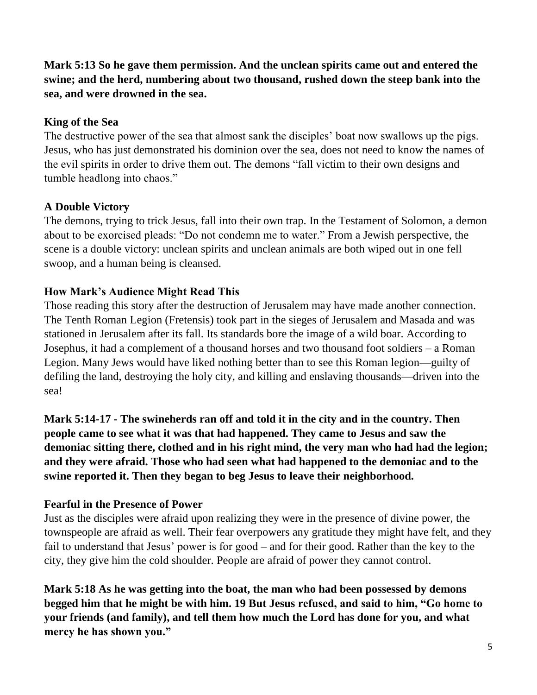**Mark 5:13 So he gave them permission. And the unclean spirits came out and entered the swine; and the herd, numbering about two thousand, rushed down the steep bank into the sea, and were drowned in the sea.**

# **King of the Sea**

The destructive power of the sea that almost sank the disciples' boat now swallows up the pigs. Jesus, who has just demonstrated his dominion over the sea, does not need to know the names of the evil spirits in order to drive them out. The demons "fall victim to their own designs and tumble headlong into chaos."

# **A Double Victory**

The demons, trying to trick Jesus, fall into their own trap. In the Testament of Solomon, a demon about to be exorcised pleads: "Do not condemn me to water." From a Jewish perspective, the scene is a double victory: unclean spirits and unclean animals are both wiped out in one fell swoop, and a human being is cleansed.

# **How Mark's Audience Might Read This**

Those reading this story after the destruction of Jerusalem may have made another connection. The Tenth Roman Legion (Fretensis) took part in the sieges of Jerusalem and Masada and was stationed in Jerusalem after its fall. Its standards bore the image of a wild boar. According to Josephus, it had a complement of a thousand horses and two thousand foot soldiers – a Roman Legion. Many Jews would have liked nothing better than to see this Roman legion—guilty of defiling the land, destroying the holy city, and killing and enslaving thousands—driven into the sea!

**Mark 5:14-17 - The swineherds ran off and told it in the city and in the country. Then people came to see what it was that had happened. They came to Jesus and saw the demoniac sitting there, clothed and in his right mind, the very man who had had the legion; and they were afraid. Those who had seen what had happened to the demoniac and to the swine reported it. Then they began to beg Jesus to leave their neighborhood.** 

# **Fearful in the Presence of Power**

Just as the disciples were afraid upon realizing they were in the presence of divine power, the townspeople are afraid as well. Their fear overpowers any gratitude they might have felt, and they fail to understand that Jesus' power is for good – and for their good. Rather than the key to the city, they give him the cold shoulder. People are afraid of power they cannot control.

**Mark 5:18 As he was getting into the boat, the man who had been possessed by demons begged him that he might be with him. 19 But Jesus refused, and said to him, "Go home to your friends (and family), and tell them how much the Lord has done for you, and what mercy he has shown you."**